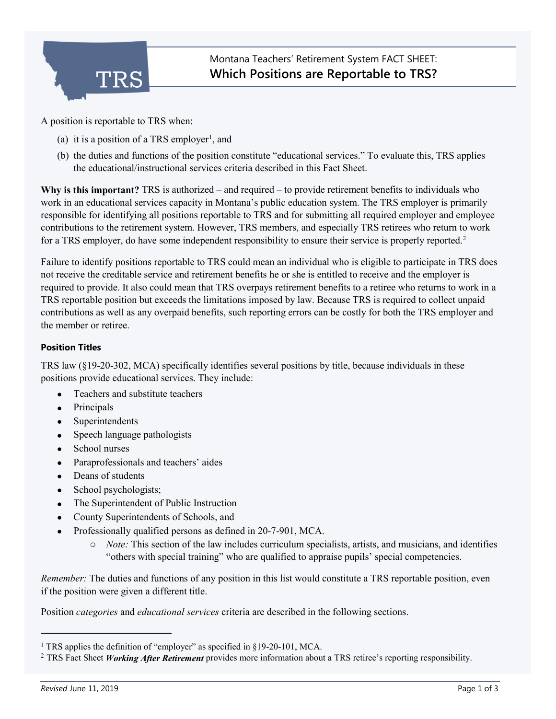

A position is reportable to TRS when:

- (a) it is a position of a TRS employer<sup>[1](#page-0-0)</sup>, and
- (b) the duties and functions of the position constitute "educational services." To evaluate this, TRS applies the educational/instructional services criteria described in this Fact Sheet.

**Why is this important?** TRS is authorized – and required – to provide retirement benefits to individuals who work in an educational services capacity in Montana's public education system. The TRS employer is primarily responsible for identifying all positions reportable to TRS and for submitting all required employer and employee contributions to the retirement system. However, TRS members, and especially TRS retirees who return to work for a TRS employer, do have some independent responsibility to ensure their service is properly reported. [2](#page-0-1)

Failure to identify positions reportable to TRS could mean an individual who is eligible to participate in TRS does not receive the creditable service and retirement benefits he or she is entitled to receive and the employer is required to provide. It also could mean that TRS overpays retirement benefits to a retiree who returns to work in a TRS reportable position but exceeds the limitations imposed by law. Because TRS is required to collect unpaid contributions as well as any overpaid benefits, such reporting errors can be costly for both the TRS employer and the member or retiree.

## **Position Titles**

TRS law (§19-20-302, MCA) specifically identifies several positions by title, because individuals in these positions provide educational services. They include:

- Teachers and substitute teachers
- Principals
- **Superintendents**
- Speech language pathologists
- School nurses
- Paraprofessionals and teachers' aides
- Deans of students
- School psychologists;
- The Superintendent of Public Instruction
- County Superintendents of Schools, and
- Professionally qualified persons as defined in 20-7-901, MCA.
	- o *Note:* This section of the law includes curriculum specialists, artists, and musicians, and identifies "others with special training" who are qualified to appraise pupils' special competencies.

*Remember:* The duties and functions of any position in this list would constitute a TRS reportable position, even if the position were given a different title.

Position *categories* and *educational services* criteria are described in the following sections.

j

<span id="page-0-0"></span><sup>&</sup>lt;sup>1</sup> TRS applies the definition of "employer" as specified in §19-20-101, MCA.

<span id="page-0-1"></span><sup>2</sup> TRS Fact Sheet *Working After Retirement* provides more information about a TRS retiree's reporting responsibility.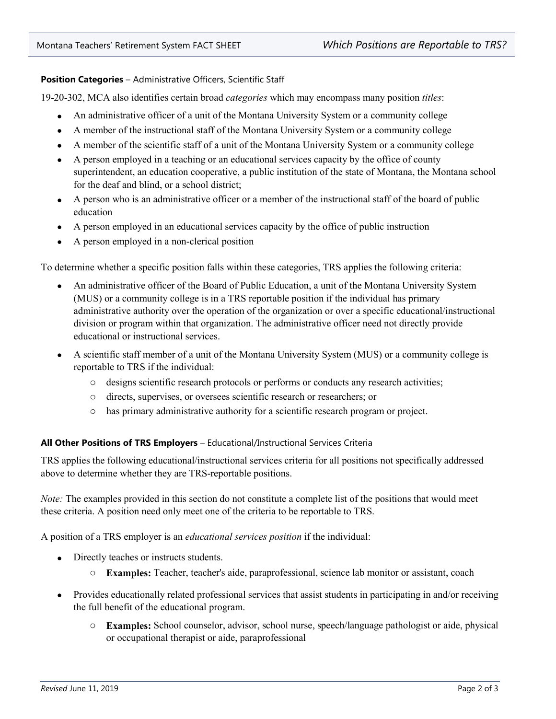**Position Categories** – Administrative Officers, Scientific Staff

19-20-302, MCA also identifies certain broad *categories* which may encompass many position *titles*:

- An administrative officer of a unit of the Montana University System or a community college
- A member of the instructional staff of the Montana University System or a community college
- A member of the scientific staff of a unit of the Montana University System or a community college
- A person employed in a teaching or an educational services capacity by the office of county superintendent, an education cooperative, a public institution of the state of Montana, the Montana school for the deaf and blind, or a school district;
- A person who is an administrative officer or a member of the instructional staff of the board of public education
- A person employed in an educational services capacity by the office of public instruction
- A person employed in a non-clerical position

To determine whether a specific position falls within these categories, TRS applies the following criteria:

- An administrative officer of the Board of Public Education, a unit of the Montana University System (MUS) or a community college is in a TRS reportable position if the individual has primary administrative authority over the operation of the organization or over a specific educational/instructional division or program within that organization. The administrative officer need not directly provide educational or instructional services.
- A scientific staff member of a unit of the Montana University System (MUS) or a community college is reportable to TRS if the individual:
	- o designs scientific research protocols or performs or conducts any research activities;
	- o directs, supervises, or oversees scientific research or researchers; or
	- o has primary administrative authority for a scientific research program or project.

## **All Other Positions of TRS Employers** – Educational/Instructional Services Criteria

TRS applies the following educational/instructional services criteria for all positions not specifically addressed above to determine whether they are TRS-reportable positions.

*Note:* The examples provided in this section do not constitute a complete list of the positions that would meet these criteria. A position need only meet one of the criteria to be reportable to TRS.

A position of a TRS employer is an *educational services position* if the individual:

- Directly teaches or instructs students.
	- o **Examples:** Teacher, teacher's aide, paraprofessional, science lab monitor or assistant, coach
- Provides educationally related professional services that assist students in participating in and/or receiving the full benefit of the educational program.
	- o **Examples:** School counselor, advisor, school nurse, speech/language pathologist or aide, physical or occupational therapist or aide, paraprofessional